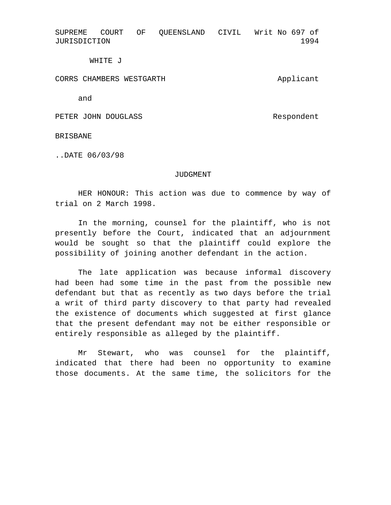SUPREME COURT OF QUEENSLAND CIVIL Writ No 697 of JURISDICTION 1994

WHITE J

CORRS CHAMBERS WESTGARTH

and

PETER JOHN DOUGLASS

Respondent

Applicant

BRISBANE

..DATE 06/03/98

## JUDGMENT

HER HONOUR: This action was due to commence by way of trial on 2 March 1998.

In the morning, counsel for the plaintiff, who is not presently before the Court, indicated that an adjournment would be sought so that the plaintiff could explore the possibility of joining another defendant in the action.

The late application was because informal discovery had been had some time in the past from the possible new defendant but that as recently as two days before the trial a writ of third party discovery to that party had revealed the existence of documents which suggested at first glance that the present defendant may not be either responsible or entirely responsible as alleged by the plaintiff.

Mr Stewart, who was counsel for the plaintiff, indicated that there had been no opportunity to examine those documents. At the same time, the solicitors for the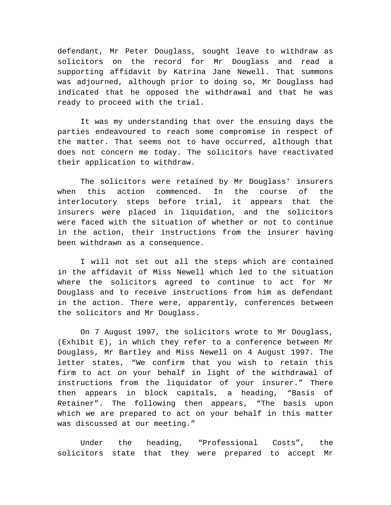defendant, Mr Peter Douglass, sought leave to withdraw as solicitors on the record for Mr Douglass and read a supporting affidavit by Katrina Jane Newell. That summons was adjourned, although prior to doing so, Mr Douglass had indicated that he opposed the withdrawal and that he was ready to proceed with the trial.

It was my understanding that over the ensuing days the parties endeavoured to reach some compromise in respect of the matter. That seems not to have occurred, although that does not concern me today. The solicitors have reactivated their application to withdraw.

The solicitors were retained by Mr Douglass' insurers when this action commenced. In the course of the interlocutory steps before trial, it appears that the insurers were placed in liquidation, and the solicitors were faced with the situation of whether or not to continue in the action, their instructions from the insurer having been withdrawn as a consequence.

I will not set out all the steps which are contained in the affidavit of Miss Newell which led to the situation where the solicitors agreed to continue to act for Mr Douglass and to receive instructions from him as defendant in the action. There were, apparently, conferences between the solicitors and Mr Douglass.

On 7 August 1997, the solicitors wrote to Mr Douglass, (Exhibit E), in which they refer to a conference between Mr Douglass, Mr Bartley and Miss Newell on 4 August 1997. The letter states, "We confirm that you wish to retain this firm to act on your behalf in light of the withdrawal of instructions from the liquidator of your insurer." There then appears in block capitals, a heading, "Basis of Retainer". The following then appears, "The basis upon which we are prepared to act on your behalf in this matter was discussed at our meeting."

Under the heading, "Professional Costs", the solicitors state that they were prepared to accept Mr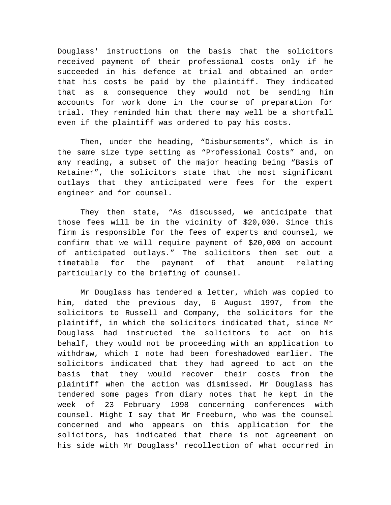Douglass' instructions on the basis that the solicitors received payment of their professional costs only if he succeeded in his defence at trial and obtained an order that his costs be paid by the plaintiff. They indicated that as a consequence they would not be sending him accounts for work done in the course of preparation for trial. They reminded him that there may well be a shortfall even if the plaintiff was ordered to pay his costs.

Then, under the heading, "Disbursements", which is in the same size type setting as "Professional Costs" and, on any reading, a subset of the major heading being "Basis of Retainer", the solicitors state that the most significant outlays that they anticipated were fees for the expert engineer and for counsel.

They then state, "As discussed, we anticipate that those fees will be in the vicinity of \$20,000. Since this firm is responsible for the fees of experts and counsel, we confirm that we will require payment of \$20,000 on account of anticipated outlays." The solicitors then set out a timetable for the payment of that amount relating particularly to the briefing of counsel.

Mr Douglass has tendered a letter, which was copied to him, dated the previous day, 6 August 1997, from the solicitors to Russell and Company, the solicitors for the plaintiff, in which the solicitors indicated that, since Mr Douglass had instructed the solicitors to act on his behalf, they would not be proceeding with an application to withdraw, which I note had been foreshadowed earlier. The solicitors indicated that they had agreed to act on the basis that they would recover their costs from the plaintiff when the action was dismissed. Mr Douglass has tendered some pages from diary notes that he kept in the week of 23 February 1998 concerning conferences with counsel. Might I say that Mr Freeburn, who was the counsel concerned and who appears on this application for the solicitors, has indicated that there is not agreement on his side with Mr Douglass' recollection of what occurred in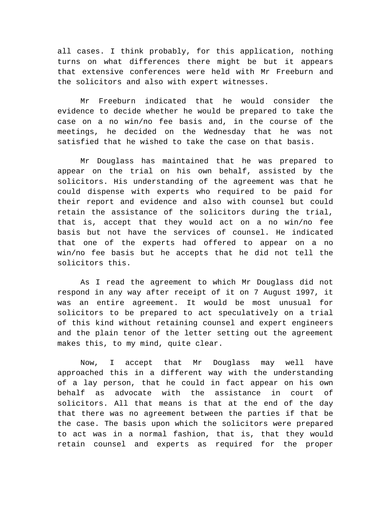all cases. I think probably, for this application, nothing turns on what differences there might be but it appears that extensive conferences were held with Mr Freeburn and the solicitors and also with expert witnesses.

Mr Freeburn indicated that he would consider the evidence to decide whether he would be prepared to take the case on a no win/no fee basis and, in the course of the meetings, he decided on the Wednesday that he was not satisfied that he wished to take the case on that basis.

Mr Douglass has maintained that he was prepared to appear on the trial on his own behalf, assisted by the solicitors. His understanding of the agreement was that he could dispense with experts who required to be paid for their report and evidence and also with counsel but could retain the assistance of the solicitors during the trial, that is, accept that they would act on a no win/no fee basis but not have the services of counsel. He indicated that one of the experts had offered to appear on a no win/no fee basis but he accepts that he did not tell the solicitors this.

As I read the agreement to which Mr Douglass did not respond in any way after receipt of it on 7 August 1997, it was an entire agreement. It would be most unusual for solicitors to be prepared to act speculatively on a trial of this kind without retaining counsel and expert engineers and the plain tenor of the letter setting out the agreement makes this, to my mind, quite clear.

Now, I accept that Mr Douglass may well have approached this in a different way with the understanding of a lay person, that he could in fact appear on his own behalf as advocate with the assistance in court of solicitors. All that means is that at the end of the day that there was no agreement between the parties if that be the case. The basis upon which the solicitors were prepared to act was in a normal fashion, that is, that they would retain counsel and experts as required for the proper